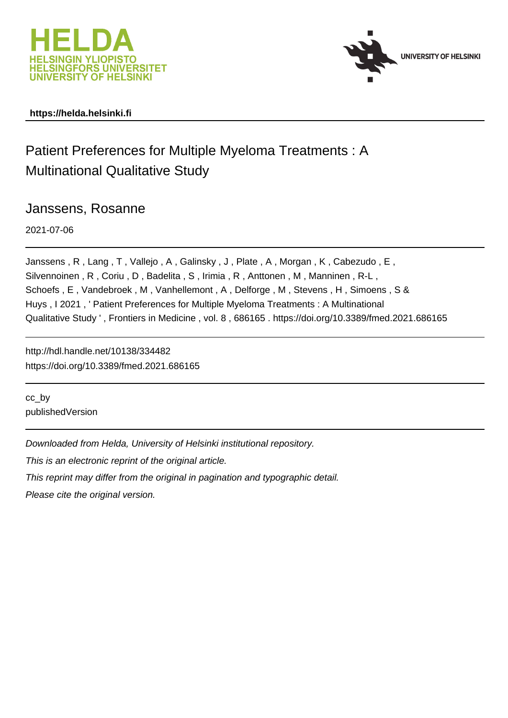



# **https://helda.helsinki.fi**

# Patient Preferences for Multiple Myeloma Treatments : A Multinational Qualitative Study

Janssens, Rosanne

2021-07-06

Janssens , R , Lang , T , Vallejo , A , Galinsky , J , Plate , A , Morgan , K , Cabezudo , E , Silvennoinen , R , Coriu , D , Badelita , S , Irimia , R , Anttonen , M , Manninen , R-L , Schoefs, E, Vandebroek, M, Vanhellemont, A, Delforge, M, Stevens, H, Simoens, S & Huys , I 2021 , ' Patient Preferences for Multiple Myeloma Treatments : A Multinational Qualitative Study ' , Frontiers in Medicine , vol. 8 , 686165 . https://doi.org/10.3389/fmed.2021.686165

http://hdl.handle.net/10138/334482 https://doi.org/10.3389/fmed.2021.686165

cc\_by publishedVersion

Downloaded from Helda, University of Helsinki institutional repository.

This is an electronic reprint of the original article.

This reprint may differ from the original in pagination and typographic detail.

Please cite the original version.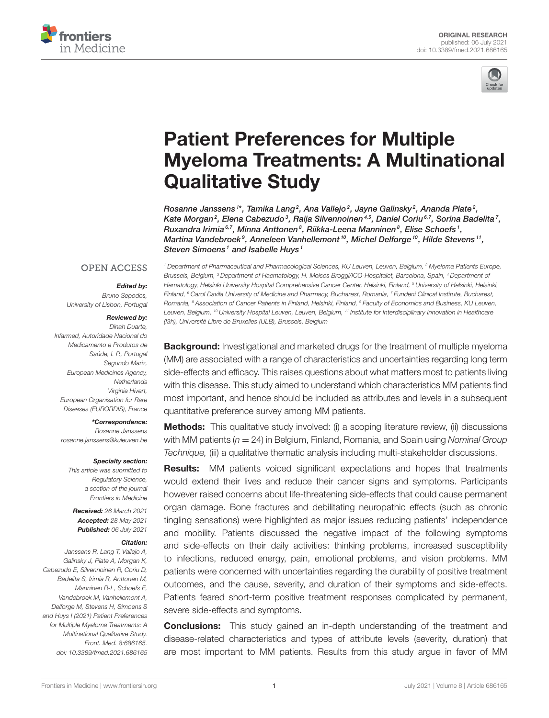



# Patient Preferences for Multiple [Myeloma Treatments: A Multinational](https://www.frontiersin.org/articles/10.3389/fmed.2021.686165/full) Qualitative Study

Rosanne Janssens 1\*, Tamika Lang $^2$ , Ana Vallejo $^2$ , Jayne Galinsky $^2$ , Ananda Plate $^2$ , Kate Morgan<sup>2</sup>, Elena Cabezudo<sup>3</sup>, Raija Silvennoinen<sup>4,5</sup>, Daniel Coriu<sup>6,7</sup>, Sorina Badelita<sup>7</sup>, Ruxandra Irimia<sup>6,7</sup>, Minna Anttonen<sup>8</sup>, Riikka-Leena Manninen<sup>8</sup>, Elise Schoefs<sup>1</sup>, Martina Vandebroek<sup>9</sup>, Anneleen Vanhellemont<sup>10</sup>, Michel Delforge<sup>10</sup>, Hilde Stevens<sup>11</sup>, Steven Simoens<sup>1</sup> and Isabelle Huys<sup>1</sup>

### **OPEN ACCESS**

#### Edited by:

Bruno Sepodes, University of Lisbon, Portugal

#### Reviewed by:

Dinah Duarte, Infarmed, Autoridade Nacional do Medicamento e Produtos de Saúde, I. P., Portugal Segundo Mariz, European Medicines Agency, **Netherlands** Virginie Hivert, European Organisation for Rare Diseases (EURORDIS), France

\*Correspondence:

Rosanne Janssens [rosanne.janssens@kuleuven.be](mailto:rosanne.janssens@kuleuven.be)

#### Specialty section:

This article was submitted to Regulatory Science, a section of the journal Frontiers in Medicine

Received: 26 March 2021 Accepted: 28 May 2021 Published: 06 July 2021

#### Citation:

Janssens R, Lang T, Vallejo A, Galinsky J, Plate A, Morgan K, Cabezudo E, Silvennoinen R, Coriu D, Badelita S, Irimia R, Anttonen M, Manninen R-L, Schoefs E, Vandebroek M, Vanhellemont A, Delforge M, Stevens H, Simoens S and Huys I (2021) Patient Preferences for Multiple Myeloma Treatments: A Multinational Qualitative Study. Front. Med. 8:686165. doi: [10.3389/fmed.2021.686165](https://doi.org/10.3389/fmed.2021.686165)

<sup>1</sup> Department of Pharmaceutical and Pharmacological Sciences, KU Leuven, Leuven, Belgium, <sup>2</sup> Myeloma Patients Europe, Brussels, Belgium, <sup>3</sup> Department of Haematology, H. Moises Broggi/ICO-Hospitalet, Barcelona, Spain, <sup>4</sup> Department of Hematology, Helsinki University Hospital Comprehensive Cancer Center, Helsinki, Finland, <sup>5</sup> University of Helsinki, Helsinki, Finland, <sup>6</sup> Carol Davila University of Medicine and Pharmacy, Bucharest, Romania, <sup>7</sup> Fundeni Clinical Institute, Bucharest, Romania, <sup>8</sup> Association of Cancer Patients in Finland, Helsinki, Finland, <sup>9</sup> Faculty of Economics and Business, KU Leuven, Leuven, Belgium, <sup>10</sup> University Hospital Leuven, Leuven, Belgium, <sup>11</sup> Institute for Interdisciplinary Innovation in Healthcare (I3h), Université Libre de Bruxelles (ULB), Brussels, Belgium

**Background:** Investigational and marketed drugs for the treatment of multiple myeloma (MM) are associated with a range of characteristics and uncertainties regarding long term side-effects and efficacy. This raises questions about what matters most to patients living with this disease. This study aimed to understand which characteristics MM patients find most important, and hence should be included as attributes and levels in a subsequent quantitative preference survey among MM patients.

**Methods:** This qualitative study involved: (i) a scoping literature review, (ii) discussions with MM patients ( $n = 24$ ) in Belgium, Finland, Romania, and Spain using Nominal Group Technique, (iii) a qualitative thematic analysis including multi-stakeholder discussions.

**Results:** MM patients voiced significant expectations and hopes that treatments would extend their lives and reduce their cancer signs and symptoms. Participants however raised concerns about life-threatening side-effects that could cause permanent organ damage. Bone fractures and debilitating neuropathic effects (such as chronic tingling sensations) were highlighted as major issues reducing patients' independence and mobility. Patients discussed the negative impact of the following symptoms and side-effects on their daily activities: thinking problems, increased susceptibility to infections, reduced energy, pain, emotional problems, and vision problems. MM patients were concerned with uncertainties regarding the durability of positive treatment outcomes, and the cause, severity, and duration of their symptoms and side-effects. Patients feared short-term positive treatment responses complicated by permanent, severe side-effects and symptoms.

**Conclusions:** This study gained an in-depth understanding of the treatment and disease-related characteristics and types of attribute levels (severity, duration) that are most important to MM patients. Results from this study argue in favor of MM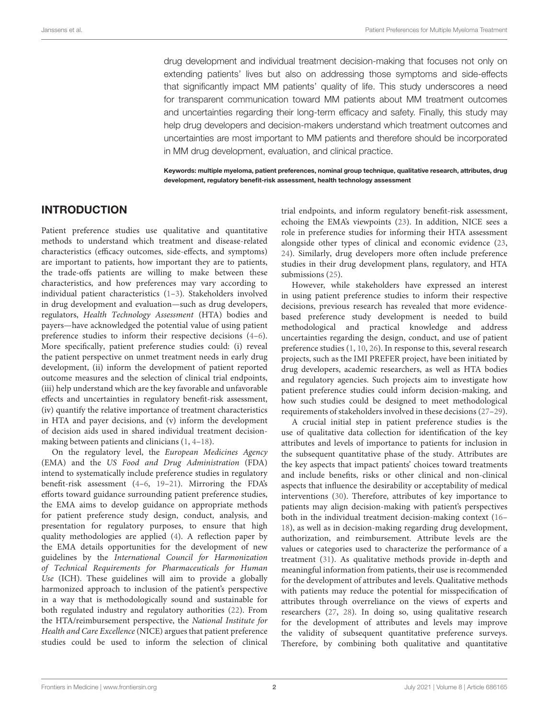drug development and individual treatment decision-making that focuses not only on extending patients' lives but also on addressing those symptoms and side-effects that significantly impact MM patients' quality of life. This study underscores a need for transparent communication toward MM patients about MM treatment outcomes and uncertainties regarding their long-term efficacy and safety. Finally, this study may help drug developers and decision-makers understand which treatment outcomes and uncertainties are most important to MM patients and therefore should be incorporated in MM drug development, evaluation, and clinical practice.

Keywords: multiple myeloma, patient preferences, nominal group technique, qualitative research, attributes, drug development, regulatory benefit-risk assessment, health technology assessment

# INTRODUCTION

Patient preference studies use qualitative and quantitative methods to understand which treatment and disease-related characteristics (efficacy outcomes, side-effects, and symptoms) are important to patients, how important they are to patients, the trade-offs patients are willing to make between these characteristics, and how preferences may vary according to individual patient characteristics (1–3). Stakeholders involved in drug development and evaluation—such as drug developers, regulators, Health Technology Assessment (HTA) bodies and payers—have acknowledged the potential value of using patient preference studies to inform their respective decisions (4–6). More specifically, patient preference studies could: (i) reveal the patient perspective on unmet treatment needs in early drug development, (ii) inform the development of patient reported outcome measures and the selection of clinical trial endpoints, (iii) help understand which are the key favorable and unfavorable effects and uncertainties in regulatory benefit-risk assessment, (iv) quantify the relative importance of treatment characteristics in HTA and payer decisions, and (v) inform the development of decision aids used in shared individual treatment decisionmaking between patients and clinicians (1, 4–18).

On the regulatory level, the European Medicines Agency (EMA) and the US Food and Drug Administration (FDA) intend to systematically include preference studies in regulatory benefit-risk assessment (4–6, 19–21). Mirroring the FDA's efforts toward guidance surrounding patient preference studies, the EMA aims to develop guidance on appropriate methods for patient preference study design, conduct, analysis, and presentation for regulatory purposes, to ensure that high quality methodologies are applied (4). A reflection paper by the EMA details opportunities for the development of new guidelines by the International Council for Harmonization of Technical Requirements for Pharmaceuticals for Human Use (ICH). These guidelines will aim to provide a globally harmonized approach to inclusion of the patient's perspective in a way that is methodologically sound and sustainable for both regulated industry and regulatory authorities (22). From the HTA/reimbursement perspective, the National Institute for Health and Care Excellence (NICE) argues that patient preference studies could be used to inform the selection of clinical trial endpoints, and inform regulatory benefit-risk assessment, echoing the EMA's viewpoints (23). In addition, NICE sees a role in preference studies for informing their HTA assessment alongside other types of clinical and economic evidence (23, 24). Similarly, drug developers more often include preference studies in their drug development plans, regulatory, and HTA submissions (25).

However, while stakeholders have expressed an interest in using patient preference studies to inform their respective decisions, previous research has revealed that more evidencebased preference study development is needed to build methodological and practical knowledge and address uncertainties regarding the design, conduct, and use of patient preference studies (1, 10, 26). In response to this, several research projects, such as the IMI PREFER project, have been initiated by drug developers, academic researchers, as well as HTA bodies and regulatory agencies. Such projects aim to investigate how patient preference studies could inform decision-making, and how such studies could be designed to meet methodological requirements of stakeholders involved in these decisions (27–29).

A crucial initial step in patient preference studies is the use of qualitative data collection for identification of the key attributes and levels of importance to patients for inclusion in the subsequent quantitative phase of the study. Attributes are the key aspects that impact patients' choices toward treatments and include benefits, risks or other clinical and non-clinical aspects that influence the desirability or acceptability of medical interventions (30). Therefore, attributes of key importance to patients may align decision-making with patient's perspectives both in the individual treatment decision-making context (16– 18), as well as in decision-making regarding drug development, authorization, and reimbursement. Attribute levels are the values or categories used to characterize the performance of a treatment (31). As qualitative methods provide in-depth and meaningful information from patients, their use is recommended for the development of attributes and levels. Qualitative methods with patients may reduce the potential for misspecification of attributes through overreliance on the views of experts and researchers (27, 28). In doing so, using qualitative research for the development of attributes and levels may improve the validity of subsequent quantitative preference surveys. Therefore, by combining both qualitative and quantitative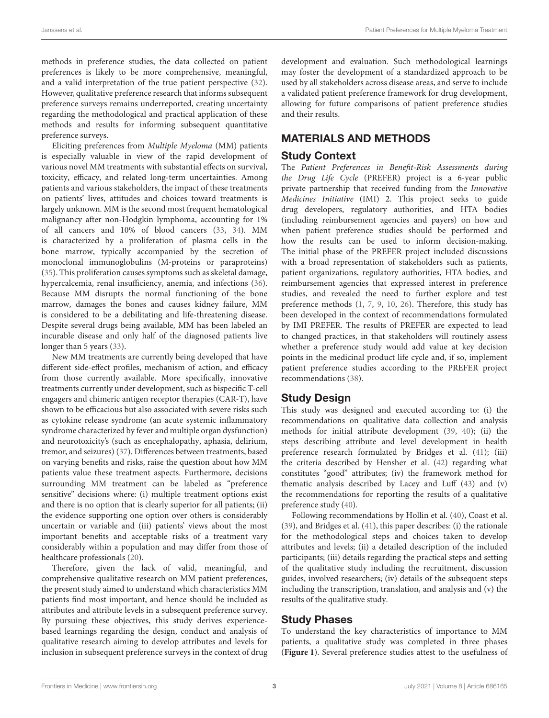methods in preference studies, the data collected on patient preferences is likely to be more comprehensive, meaningful, and a valid interpretation of the true patient perspective (32). However, qualitative preference research that informs subsequent preference surveys remains underreported, creating uncertainty regarding the methodological and practical application of these methods and results for informing subsequent quantitative preference surveys.

Eliciting preferences from Multiple Myeloma (MM) patients is especially valuable in view of the rapid development of various novel MM treatments with substantial effects on survival, toxicity, efficacy, and related long-term uncertainties. Among patients and various stakeholders, the impact of these treatments on patients' lives, attitudes and choices toward treatments is largely unknown. MM is the second most frequent hematological malignancy after non-Hodgkin lymphoma, accounting for 1% of all cancers and 10% of blood cancers (33, 34). MM is characterized by a proliferation of plasma cells in the bone marrow, typically accompanied by the secretion of monoclonal immunoglobulins (M-proteins or paraproteins) (35). This proliferation causes symptoms such as skeletal damage, hypercalcemia, renal insufficiency, anemia, and infections (36). Because MM disrupts the normal functioning of the bone marrow, damages the bones and causes kidney failure, MM is considered to be a debilitating and life-threatening disease. Despite several drugs being available, MM has been labeled an incurable disease and only half of the diagnosed patients live longer than 5 years (33).

New MM treatments are currently being developed that have different side-effect profiles, mechanism of action, and efficacy from those currently available. More specifically, innovative treatments currently under development, such as bispecific T-cell engagers and chimeric antigen receptor therapies (CAR-T), have shown to be efficacious but also associated with severe risks such as cytokine release syndrome (an acute systemic inflammatory syndrome characterized by fever and multiple organ dysfunction) and neurotoxicity's (such as encephalopathy, aphasia, delirium, tremor, and seizures) (37). Differences between treatments, based on varying benefits and risks, raise the question about how MM patients value these treatment aspects. Furthermore, decisions surrounding MM treatment can be labeled as "preference sensitive" decisions where: (i) multiple treatment options exist and there is no option that is clearly superior for all patients; (ii) the evidence supporting one option over others is considerably uncertain or variable and (iii) patients' views about the most important benefits and acceptable risks of a treatment vary considerably within a population and may differ from those of healthcare professionals (20).

Therefore, given the lack of valid, meaningful, and comprehensive qualitative research on MM patient preferences, the present study aimed to understand which characteristics MM patients find most important, and hence should be included as attributes and attribute levels in a subsequent preference survey. By pursuing these objectives, this study derives experiencebased learnings regarding the design, conduct and analysis of qualitative research aiming to develop attributes and levels for inclusion in subsequent preference surveys in the context of drug development and evaluation. Such methodological learnings may foster the development of a standardized approach to be used by all stakeholders across disease areas, and serve to include a validated patient preference framework for drug development, allowing for future comparisons of patient preference studies and their results.

# MATERIALS AND METHODS

# Study Context

The Patient Preferences in Benefit-Risk Assessments during the Drug Life Cycle (PREFER) project is a 6-year public private partnership that received funding from the Innovative Medicines Initiative (IMI) 2. This project seeks to guide drug developers, regulatory authorities, and HTA bodies (including reimbursement agencies and payers) on how and when patient preference studies should be performed and how the results can be used to inform decision-making. The initial phase of the PREFER project included discussions with a broad representation of stakeholders such as patients, patient organizations, regulatory authorities, HTA bodies, and reimbursement agencies that expressed interest in preference studies, and revealed the need to further explore and test preference methods (1, 7, 9, 10, 26). Therefore, this study has been developed in the context of recommendations formulated by IMI PREFER. The results of PREFER are expected to lead to changed practices, in that stakeholders will routinely assess whether a preference study would add value at key decision points in the medicinal product life cycle and, if so, implement patient preference studies according to the PREFER project recommendations (38).

# Study Design

This study was designed and executed according to: (i) the recommendations on qualitative data collection and analysis methods for initial attribute development (39, 40); (ii) the steps describing attribute and level development in health preference research formulated by Bridges et al. (41); (iii) the criteria described by Hensher et al. (42) regarding what constitutes "good" attributes; (iv) the framework method for thematic analysis described by Lacey and Luff (43) and (v) the recommendations for reporting the results of a qualitative preference study (40).

Following recommendations by Hollin et al. (40), Coast et al. (39), and Bridges et al. (41), this paper describes: (i) the rationale for the methodological steps and choices taken to develop attributes and levels; (ii) a detailed description of the included participants; (iii) details regarding the practical steps and setting of the qualitative study including the recruitment, discussion guides, involved researchers; (iv) details of the subsequent steps including the transcription, translation, and analysis and (v) the results of the qualitative study.

# Study Phases

To understand the key characteristics of importance to MM patients, a qualitative study was completed in three phases (**Figure 1**). Several preference studies attest to the usefulness of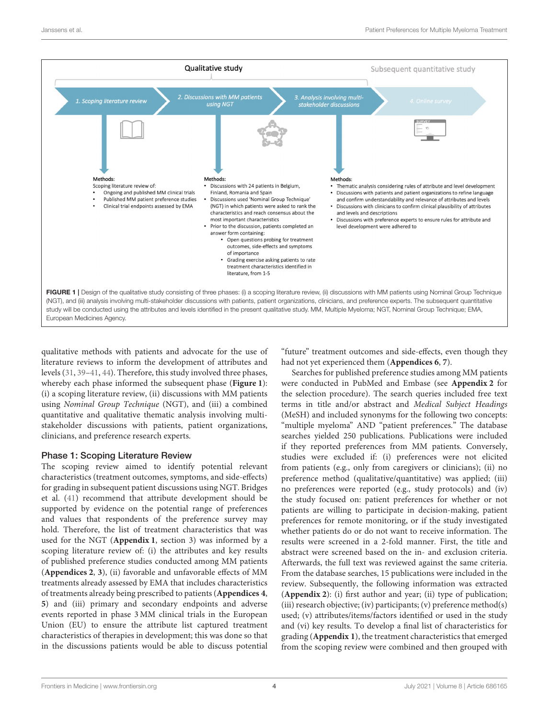

qualitative methods with patients and advocate for the use of literature reviews to inform the development of attributes and levels (31, 39–41, 44). Therefore, this study involved three phases, whereby each phase informed the subsequent phase (**Figure 1**): (i) a scoping literature review, (ii) discussions with MM patients using Nominal Group Technique (NGT), and (iii) a combined quantitative and qualitative thematic analysis involving multistakeholder discussions with patients, patient organizations, clinicians, and preference research experts.

# Phase 1: Scoping Literature Review

The scoping review aimed to identify potential relevant characteristics (treatment outcomes, symptoms, and side-effects) for grading in subsequent patient discussions using NGT. Bridges et al. (41) recommend that attribute development should be supported by evidence on the potential range of preferences and values that respondents of the preference survey may hold. Therefore, the list of treatment characteristics that was used for the NGT (**Appendix 1**, section 3) was informed by a scoping literature review of: (i) the attributes and key results of published preference studies conducted among MM patients (**Appendices 2**, **3**), (ii) favorable and unfavorable effects of MM treatments already assessed by EMA that includes characteristics of treatments already being prescribed to patients (**Appendices 4**, **5**) and (iii) primary and secondary endpoints and adverse events reported in phase 3 MM clinical trials in the European Union (EU) to ensure the attribute list captured treatment characteristics of therapies in development; this was done so that in the discussions patients would be able to discuss potential

"future" treatment outcomes and side-effects, even though they had not yet experienced them (**Appendices 6**, **7**).

Searches for published preference studies among MM patients were conducted in PubMed and Embase (see **Appendix 2** for the selection procedure). The search queries included free text terms in title and/or abstract and Medical Subject Headings (MeSH) and included synonyms for the following two concepts: "multiple myeloma" AND "patient preferences." The database searches yielded 250 publications. Publications were included if they reported preferences from MM patients. Conversely, studies were excluded if: (i) preferences were not elicited from patients (e.g., only from caregivers or clinicians); (ii) no preference method (qualitative/quantitative) was applied; (iii) no preferences were reported (e.g., study protocols) and (iv) the study focused on: patient preferences for whether or not patients are willing to participate in decision-making, patient preferences for remote monitoring, or if the study investigated whether patients do or do not want to receive information. The results were screened in a 2-fold manner. First, the title and abstract were screened based on the in- and exclusion criteria. Afterwards, the full text was reviewed against the same criteria. From the database searches, 15 publications were included in the review. Subsequently, the following information was extracted (**Appendix 2**): (i) first author and year; (ii) type of publication; (iii) research objective; (iv) participants; (v) preference method(s) used; (v) attributes/items/factors identified or used in the study and (vi) key results. To develop a final list of characteristics for grading (**Appendix 1**), the treatment characteristics that emerged from the scoping review were combined and then grouped with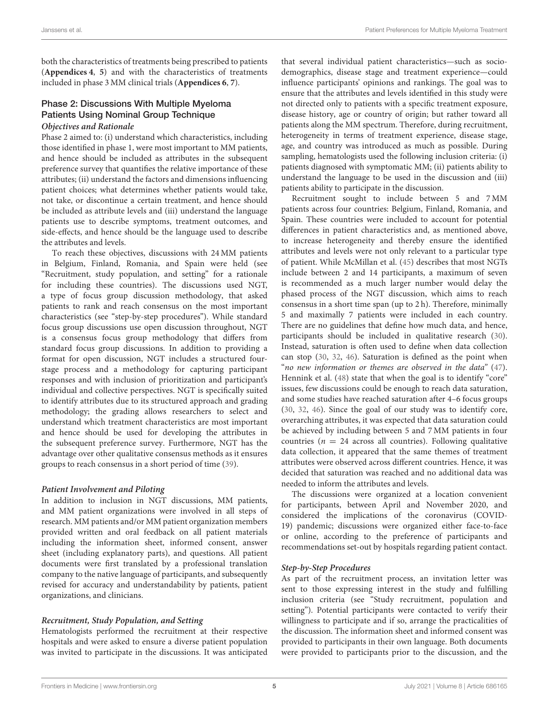both the characteristics of treatments being prescribed to patients (**Appendices 4**, **5**) and with the characteristics of treatments included in phase 3 MM clinical trials (**Appendices 6**, **7**).

### Phase 2: Discussions With Multiple Myeloma Patients Using Nominal Group Technique **Objectives and Rationale**

Phase 2 aimed to: (i) understand which characteristics, including those identified in phase 1, were most important to MM patients, and hence should be included as attributes in the subsequent preference survey that quantifies the relative importance of these attributes; (ii) understand the factors and dimensions influencing patient choices; what determines whether patients would take, not take, or discontinue a certain treatment, and hence should be included as attribute levels and (iii) understand the language patients use to describe symptoms, treatment outcomes, and side-effects, and hence should be the language used to describe the attributes and levels.

To reach these objectives, discussions with 24 MM patients in Belgium, Finland, Romania, and Spain were held (see "Recruitment, study population, and setting" for a rationale for including these countries). The discussions used NGT, a type of focus group discussion methodology, that asked patients to rank and reach consensus on the most important characteristics (see "step-by-step procedures"). While standard focus group discussions use open discussion throughout, NGT is a consensus focus group methodology that differs from standard focus group discussions. In addition to providing a format for open discussion, NGT includes a structured fourstage process and a methodology for capturing participant responses and with inclusion of prioritization and participant's individual and collective perspectives. NGT is specifically suited to identify attributes due to its structured approach and grading methodology; the grading allows researchers to select and understand which treatment characteristics are most important and hence should be used for developing the attributes in the subsequent preference survey. Furthermore, NGT has the advantage over other qualitative consensus methods as it ensures groups to reach consensus in a short period of time (39).

### **Patient Involvement and Piloting**

In addition to inclusion in NGT discussions, MM patients, and MM patient organizations were involved in all steps of research. MM patients and/or MM patient organization members provided written and oral feedback on all patient materials including the information sheet, informed consent, answer sheet (including explanatory parts), and questions. All patient documents were first translated by a professional translation company to the native language of participants, and subsequently revised for accuracy and understandability by patients, patient organizations, and clinicians.

# **Recruitment, Study Population, and Setting**

Hematologists performed the recruitment at their respective hospitals and were asked to ensure a diverse patient population was invited to participate in the discussions. It was anticipated that several individual patient characteristics—such as sociodemographics, disease stage and treatment experience—could influence participants' opinions and rankings. The goal was to ensure that the attributes and levels identified in this study were not directed only to patients with a specific treatment exposure, disease history, age or country of origin; but rather toward all patients along the MM spectrum. Therefore, during recruitment, heterogeneity in terms of treatment experience, disease stage, age, and country was introduced as much as possible. During sampling, hematologists used the following inclusion criteria: (i) patients diagnosed with symptomatic MM; (ii) patients ability to understand the language to be used in the discussion and (iii) patients ability to participate in the discussion.

Recruitment sought to include between 5 and 7 MM patients across four countries: Belgium, Finland, Romania, and Spain. These countries were included to account for potential differences in patient characteristics and, as mentioned above, to increase heterogeneity and thereby ensure the identified attributes and levels were not only relevant to a particular type of patient. While McMillan et al. (45) describes that most NGTs include between 2 and 14 participants, a maximum of seven is recommended as a much larger number would delay the phased process of the NGT discussion, which aims to reach consensus in a short time span (up to 2 h). Therefore, minimally 5 and maximally 7 patients were included in each country. There are no guidelines that define how much data, and hence, participants should be included in qualitative research (30). Instead, saturation is often used to define when data collection can stop (30, 32, 46). Saturation is defined as the point when "no new information or themes are observed in the data" (47). Hennink et al. (48) state that when the goal is to identify "core" issues, few discussions could be enough to reach data saturation, and some studies have reached saturation after 4–6 focus groups (30, 32, 46). Since the goal of our study was to identify core, overarching attributes, it was expected that data saturation could be achieved by including between 5 and 7 MM patients in four countries ( $n = 24$  across all countries). Following qualitative data collection, it appeared that the same themes of treatment attributes were observed across different countries. Hence, it was decided that saturation was reached and no additional data was needed to inform the attributes and levels.

The discussions were organized at a location convenient for participants, between April and November 2020, and considered the implications of the coronavirus (COVID-19) pandemic; discussions were organized either face-to-face or online, according to the preference of participants and recommendations set-out by hospitals regarding patient contact.

### **Step-by-Step Procedures**

As part of the recruitment process, an invitation letter was sent to those expressing interest in the study and fulfilling inclusion criteria (see "Study recruitment, population and setting"). Potential participants were contacted to verify their willingness to participate and if so, arrange the practicalities of the discussion. The information sheet and informed consent was provided to participants in their own language. Both documents were provided to participants prior to the discussion, and the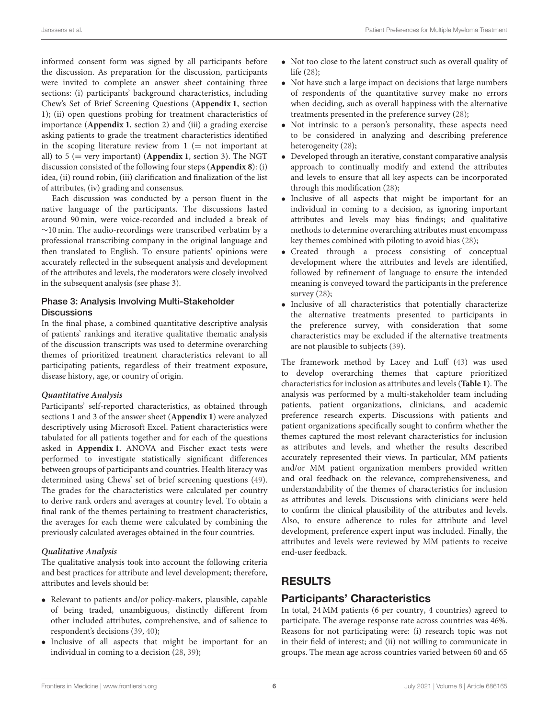informed consent form was signed by all participants before the discussion. As preparation for the discussion, participants were invited to complete an answer sheet containing three sections: (i) participants' background characteristics, including Chew's Set of Brief Screening Questions (**Appendix 1**, section 1); (ii) open questions probing for treatment characteristics of importance (**Appendix 1**, section 2) and (iii) a grading exercise asking patients to grade the treatment characteristics identified in the scoping literature review from  $1 (= not important)$ all) to 5 (= very important) (**Appendix 1**, section 3). The NGT discussion consisted of the following four steps (**Appendix 8**): (i) idea, (ii) round robin, (iii) clarification and finalization of the list of attributes, (iv) grading and consensus.

Each discussion was conducted by a person fluent in the native language of the participants. The discussions lasted around 90 min, were voice-recorded and included a break of ∼10 min. The audio-recordings were transcribed verbatim by a professional transcribing company in the original language and then translated to English. To ensure patients' opinions were accurately reflected in the subsequent analysis and development of the attributes and levels, the moderators were closely involved in the subsequent analysis (see phase 3).

## Phase 3: Analysis Involving Multi-Stakeholder **Discussions**

In the final phase, a combined quantitative descriptive analysis of patients' rankings and iterative qualitative thematic analysis of the discussion transcripts was used to determine overarching themes of prioritized treatment characteristics relevant to all participating patients, regardless of their treatment exposure, disease history, age, or country of origin.

#### **Quantitative Analysis**

Participants' self-reported characteristics, as obtained through sections 1 and 3 of the answer sheet (**Appendix 1**) were analyzed descriptively using Microsoft Excel. Patient characteristics were tabulated for all patients together and for each of the questions asked in **Appendix 1**. ANOVA and Fischer exact tests were performed to investigate statistically significant differences between groups of participants and countries. Health literacy was determined using Chews' set of brief screening questions (49). The grades for the characteristics were calculated per country to derive rank orders and averages at country level. To obtain a final rank of the themes pertaining to treatment characteristics, the averages for each theme were calculated by combining the previously calculated averages obtained in the four countries.

### **Qualitative Analysis**

The qualitative analysis took into account the following criteria and best practices for attribute and level development; therefore, attributes and levels should be:

- Relevant to patients and/or policy-makers, plausible, capable of being traded, unambiguous, distinctly different from other included attributes, comprehensive, and of salience to respondent's decisions (39, 40);
- Inclusive of all aspects that might be important for an individual in coming to a decision (28, 39);
- Not too close to the latent construct such as overall quality of life (28);
- Not have such a large impact on decisions that large numbers of respondents of the quantitative survey make no errors when deciding, such as overall happiness with the alternative treatments presented in the preference survey (28);
- Not intrinsic to a person's personality, these aspects need to be considered in analyzing and describing preference heterogeneity (28);
- Developed through an iterative, constant comparative analysis approach to continually modify and extend the attributes and levels to ensure that all key aspects can be incorporated through this modification (28);
- Inclusive of all aspects that might be important for an individual in coming to a decision, as ignoring important attributes and levels may bias findings; and qualitative methods to determine overarching attributes must encompass key themes combined with piloting to avoid bias (28);
- Created through a process consisting of conceptual development where the attributes and levels are identified, followed by refinement of language to ensure the intended meaning is conveyed toward the participants in the preference survey (28);
- Inclusive of all characteristics that potentially characterize the alternative treatments presented to participants in the preference survey, with consideration that some characteristics may be excluded if the alternative treatments are not plausible to subjects (39).

The framework method by Lacey and Luff (43) was used to develop overarching themes that capture prioritized characteristics for inclusion as attributes and levels (**Table 1**). The analysis was performed by a multi-stakeholder team including patients, patient organizations, clinicians, and academic preference research experts. Discussions with patients and patient organizations specifically sought to confirm whether the themes captured the most relevant characteristics for inclusion as attributes and levels, and whether the results described accurately represented their views. In particular, MM patients and/or MM patient organization members provided written and oral feedback on the relevance, comprehensiveness, and understandability of the themes of characteristics for inclusion as attributes and levels. Discussions with clinicians were held to confirm the clinical plausibility of the attributes and levels. Also, to ensure adherence to rules for attribute and level development, preference expert input was included. Finally, the attributes and levels were reviewed by MM patients to receive end-user feedback.

# RESULTS

# Participants' Characteristics

In total, 24 MM patients (6 per country, 4 countries) agreed to participate. The average response rate across countries was 46%. Reasons for not participating were: (i) research topic was not in their field of interest; and (ii) not willing to communicate in groups. The mean age across countries varied between 60 and 65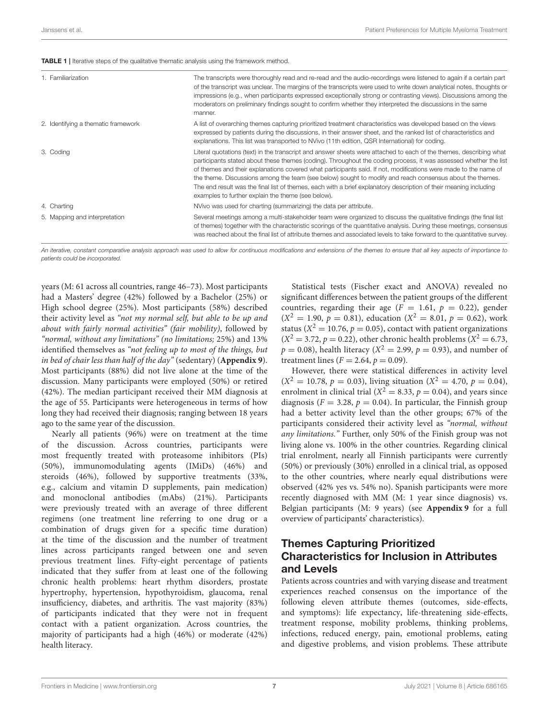| 1. Familiarization                  | The transcripts were thoroughly read and re-read and the audio-recordings were listened to again if a certain part<br>of the transcript was unclear. The margins of the transcripts were used to write down analytical notes, thoughts or<br>impressions (e.g., when participants expressed exceptionally strong or contrasting views). Discussions among the<br>moderators on preliminary findings sought to confirm whether they interpreted the discussions in the same<br>manner.                                                                                                                                                            |
|-------------------------------------|--------------------------------------------------------------------------------------------------------------------------------------------------------------------------------------------------------------------------------------------------------------------------------------------------------------------------------------------------------------------------------------------------------------------------------------------------------------------------------------------------------------------------------------------------------------------------------------------------------------------------------------------------|
| 2. Identifying a thematic framework | A list of overarching themes capturing prioritized treatment characteristics was developed based on the views<br>expressed by patients during the discussions, in their answer sheet, and the ranked list of characteristics and<br>explanations. This list was transported to NVivo (11th edition, QSR International) for coding.                                                                                                                                                                                                                                                                                                               |
| 3. Coding                           | Literal quotations (text) in the transcript and answer sheets were attached to each of the themes, describing what<br>participants stated about these themes (coding). Throughout the coding process, it was assessed whether the list<br>of themes and their explanations covered what participants said. If not, modifications were made to the name of<br>the theme. Discussions among the team (see below) sought to modify and reach consensus about the themes.<br>The end result was the final list of themes, each with a brief explanatory description of their meaning including<br>examples to further explain the theme (see below). |
| 4. Charting                         | NVivo was used for charting (summarizing) the data per attribute.                                                                                                                                                                                                                                                                                                                                                                                                                                                                                                                                                                                |
| 5. Mapping and interpretation       | Several meetings among a multi-stakeholder team were organized to discuss the qualitative findings (the final list<br>of themes) together with the characteristic scorings of the quantitative analysis. During these meetings, consensus<br>was reached about the final list of attribute themes and associated levels to take forward to the quantitative survey.                                                                                                                                                                                                                                                                              |

An iterative, constant comparative analysis approach was used to allow for continuous modifications and extensions of the themes to ensure that all key aspects of importance to patients could be incorporated.

years (M: 61 across all countries, range 46–73). Most participants had a Masters' degree (42%) followed by a Bachelor (25%) or High school degree (25%). Most participants (58%) described their activity level as "not my normal self, but able to be up and about with fairly normal activities" (fair mobility), followed by "normal, without any limitations" (no limitations; 25%) and 13% identified themselves as "not feeling up to most of the things, but in bed of chair less than half of the day" (sedentary) (**Appendix 9**). Most participants (88%) did not live alone at the time of the discussion. Many participants were employed (50%) or retired (42%). The median participant received their MM diagnosis at the age of 55. Participants were heterogeneous in terms of how long they had received their diagnosis; ranging between 18 years ago to the same year of the discussion.

Nearly all patients (96%) were on treatment at the time of the discussion. Across countries, participants were most frequently treated with proteasome inhibitors (PIs) (50%), immunomodulating agents (IMiDs) (46%) and steroids (46%), followed by supportive treatments (33%, e.g., calcium and vitamin D supplements, pain medication) and monoclonal antibodies (mAbs) (21%). Participants were previously treated with an average of three different regimens (one treatment line referring to one drug or a combination of drugs given for a specific time duration) at the time of the discussion and the number of treatment lines across participants ranged between one and seven previous treatment lines. Fifty-eight percentage of patients indicated that they suffer from at least one of the following chronic health problems: heart rhythm disorders, prostate hypertrophy, hypertension, hypothyroidism, glaucoma, renal insufficiency, diabetes, and arthritis. The vast majority (83%) of participants indicated that they were not in frequent contact with a patient organization. Across countries, the majority of participants had a high (46%) or moderate (42%) health literacy.

Statistical tests (Fischer exact and ANOVA) revealed no significant differences between the patient groups of the different countries, regarding their age ( $F = 1.61$ ,  $p = 0.22$ ), gender  $(X^2 = 1.90, p = 0.81)$ , education  $(X^2 = 8.01, p = 0.62)$ , work status ( $X^2 = 10.76$ ,  $p = 0.05$ ), contact with patient organizations  $(X^2 = 3.72, p = 0.22)$ , other chronic health problems  $(X^2 = 6.73,$  $p = 0.08$ ), health literacy ( $X^2 = 2.99$ ,  $p = 0.93$ ), and number of treatment lines  $(F = 2.64, p = 0.09)$ .

However, there were statistical differences in activity level  $(X^2 = 10.78, p = 0.03)$ , living situation  $(X^2 = 4.70, p = 0.04)$ , enrolment in clinical trial ( $X^2 = 8.33$ ,  $p = 0.04$ ), and years since diagnosis ( $F = 3.28$ ,  $p = 0.04$ ). In particular, the Finnish group had a better activity level than the other groups; 67% of the participants considered their activity level as "normal, without any limitations." Further, only 50% of the Finish group was not living alone vs. 100% in the other countries. Regarding clinical trial enrolment, nearly all Finnish participants were currently (50%) or previously (30%) enrolled in a clinical trial, as opposed to the other countries, where nearly equal distributions were observed (42% yes vs. 54% no). Spanish participants were more recently diagnosed with MM (M: 1 year since diagnosis) vs. Belgian participants (M: 9 years) (see **Appendix 9** for a full overview of participants' characteristics).

# Themes Capturing Prioritized Characteristics for Inclusion in Attributes and Levels

Patients across countries and with varying disease and treatment experiences reached consensus on the importance of the following eleven attribute themes (outcomes, side-effects, and symptoms): life expectancy, life-threatening side-effects, treatment response, mobility problems, thinking problems, infections, reduced energy, pain, emotional problems, eating and digestive problems, and vision problems. These attribute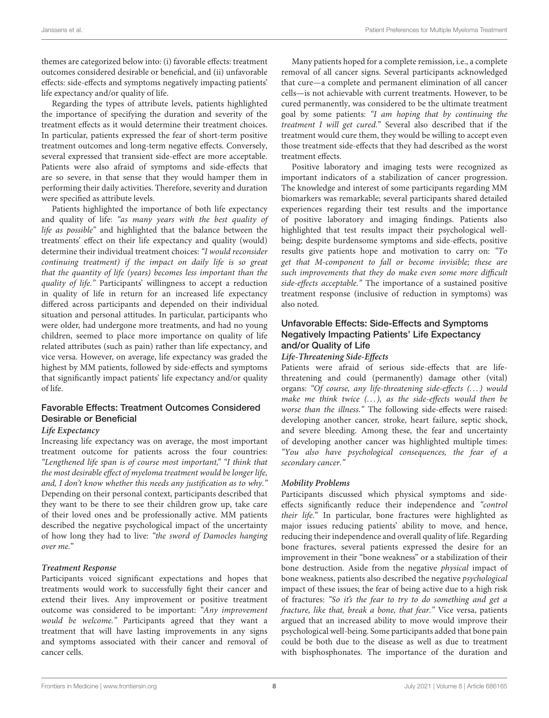themes are categorized below into: (i) favorable effects: treatment outcomes considered desirable or beneficial, and (ii) unfavorable effects: side-effects and symptoms negatively impacting patients' life expectancy and/or quality of life.

Regarding the types of attribute levels, patients highlighted the importance of specifying the duration and severity of the treatment effects as it would determine their treatment choices. In particular, patients expressed the fear of short-term positive treatment outcomes and long-term negative effects. Conversely, several expressed that transient side-effect are more acceptable. Patients were also afraid of symptoms and side-effects that are so severe, in that sense that they would hamper them in performing their daily activities. Therefore, severity and duration were specified as attribute levels.

Patients highlighted the importance of both life expectancy and quality of life: "as many years with the best quality of life as possible" and highlighted that the balance between the treatments' effect on their life expectancy and quality (would) determine their individual treatment choices: "I would reconsider continuing treatment) if the impact on daily life is so great that the quantity of life (years) becomes less important than the quality of life." Participants' willingness to accept a reduction in quality of life in return for an increased life expectancy differed across participants and depended on their individual situation and personal attitudes. In particular, participants who were older, had undergone more treatments, and had no young children, seemed to place more importance on quality of life related attributes (such as pain) rather than life expectancy, and vice versa. However, on average, life expectancy was graded the highest by MM patients, followed by side-effects and symptoms that significantly impact patients' life expectancy and/or quality of life.

## Favorable Effects: Treatment Outcomes Considered Desirable or Beneficial

#### **Life Expectancy**

Increasing life expectancy was on average, the most important treatment outcome for patients across the four countries: "Lengthened life span is of course most important," "I think that the most desirable effect of myeloma treatment would be longer life, and, I don't know whether this needs any justification as to why." Depending on their personal context, participants described that they want to be there to see their children grow up, take care of their loved ones and be professionally active. MM patients described the negative psychological impact of the uncertainty of how long they had to live: "the sword of Damocles hanging over me."

### **Treatment Response**

Participants voiced significant expectations and hopes that treatments would work to successfully fight their cancer and extend their lives. Any improvement or positive treatment outcome was considered to be important: "Any improvement would be welcome." Participants agreed that they want a treatment that will have lasting improvements in any signs and symptoms associated with their cancer and removal of cancer cells.

Many patients hoped for a complete remission, i.e., a complete removal of all cancer signs. Several participants acknowledged that cure—a complete and permanent elimination of all cancer cells—is not achievable with current treatments. However, to be cured permanently, was considered to be the ultimate treatment goal by some patients: "I am hoping that by continuing the treatment I will get cured." Several also described that if the treatment would cure them, they would be willing to accept even those treatment side-effects that they had described as the worst treatment effects.

Positive laboratory and imaging tests were recognized as important indicators of a stabilization of cancer progression. The knowledge and interest of some participants regarding MM biomarkers was remarkable; several participants shared detailed experiences regarding their test results and the importance of positive laboratory and imaging findings. Patients also highlighted that test results impact their psychological wellbeing; despite burdensome symptoms and side-effects, positive results give patients hope and motivation to carry on: "To get that M-component to fall or become invisible; these are such improvements that they do make even some more difficult side-effects acceptable." The importance of a sustained positive treatment response (inclusive of reduction in symptoms) was also noted.

# Unfavorable Effects: Side-Effects and Symptoms Negatively Impacting Patients' Life Expectancy and/or Quality of Life

### **Life-Threatening Side-Effects**

Patients were afraid of serious side-effects that are lifethreatening and could (permanently) damage other (vital) organs: "Of course, any life-threatening side-effects (...) would make me think twice  $(...)$ , as the side-effects would then be worse than the illness." The following side-effects were raised: developing another cancer, stroke, heart failure, septic shock, and severe bleeding. Among these, the fear and uncertainty of developing another cancer was highlighted multiple times: "You also have psychological consequences, the fear of a secondary cancer."

### **Mobility Problems**

Participants discussed which physical symptoms and sideeffects significantly reduce their independence and "control their life." In particular, bone fractures were highlighted as major issues reducing patients' ability to move, and hence, reducing their independence and overall quality of life. Regarding bone fractures, several patients expressed the desire for an improvement in their "bone weakness" or a stabilization of their bone destruction. Aside from the negative physical impact of bone weakness, patients also described the negative psychological impact of these issues; the fear of being active due to a high risk of fractures: "So it's the fear to try to do something and get a fracture, like that, break a bone, that fear." Vice versa, patients argued that an increased ability to move would improve their psychological well-being. Some participants added that bone pain could be both due to the disease as well as due to treatment with bisphosphonates. The importance of the duration and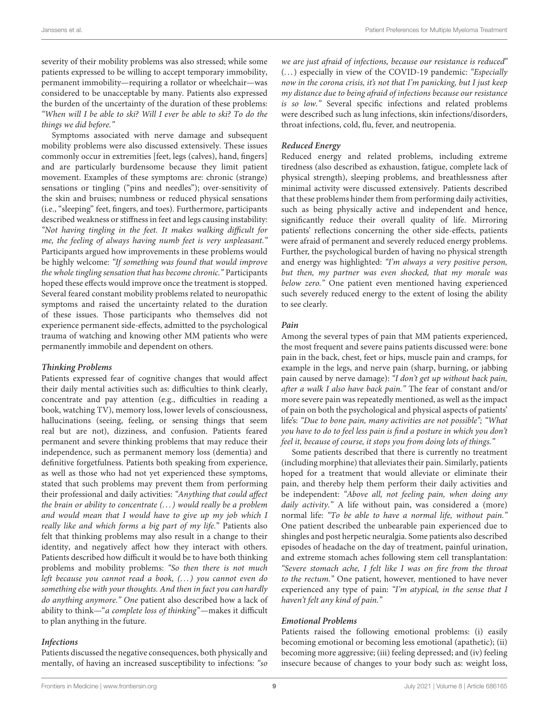severity of their mobility problems was also stressed; while some patients expressed to be willing to accept temporary immobility, permanent immobility—requiring a rollator or wheelchair—was considered to be unacceptable by many. Patients also expressed the burden of the uncertainty of the duration of these problems: "When will I be able to ski? Will I ever be able to ski? To do the things we did before."

Symptoms associated with nerve damage and subsequent mobility problems were also discussed extensively. These issues commonly occur in extremities [feet, legs (calves), hand, fingers] and are particularly burdensome because they limit patient movement. Examples of these symptoms are: chronic (strange) sensations or tingling ("pins and needles"); over-sensitivity of the skin and bruises; numbness or reduced physical sensations (i.e., "sleeping" feet, fingers, and toes). Furthermore, participants described weakness or stiffness in feet and legs causing instability: "Not having tingling in the feet. It makes walking difficult for me, the feeling of always having numb feet is very unpleasant." Participants argued how improvements in these problems would be highly welcome: "If something was found that would improve the whole tingling sensation that has become chronic." Participants hoped these effects would improve once the treatment is stopped. Several feared constant mobility problems related to neuropathic symptoms and raised the uncertainty related to the duration of these issues. Those participants who themselves did not experience permanent side-effects, admitted to the psychological trauma of watching and knowing other MM patients who were permanently immobile and dependent on others.

#### **Thinking Problems**

Patients expressed fear of cognitive changes that would affect their daily mental activities such as: difficulties to think clearly, concentrate and pay attention (e.g., difficulties in reading a book, watching TV), memory loss, lower levels of consciousness, hallucinations (seeing, feeling, or sensing things that seem real but are not), dizziness, and confusion. Patients feared permanent and severe thinking problems that may reduce their independence, such as permanent memory loss (dementia) and definitive forgetfulness. Patients both speaking from experience, as well as those who had not yet experienced these symptoms, stated that such problems may prevent them from performing their professional and daily activities: "Anything that could affect the brain or ability to concentrate  $(\dots)$  would really be a problem and would mean that I would have to give up my job which I really like and which forms a big part of my life." Patients also felt that thinking problems may also result in a change to their identity, and negatively affect how they interact with others. Patients described how difficult it would be to have both thinking problems and mobility problems: "So then there is not much left because you cannot read a book, (...) you cannot even do something else with your thoughts. And then in fact you can hardly do anything anymore." One patient also described how a lack of ability to think—"a complete loss of thinking"—makes it difficult to plan anything in the future.

### **Infections**

Patients discussed the negative consequences, both physically and mentally, of having an increased susceptibility to infections: "so we are just afraid of infections, because our resistance is reduced" (...) especially in view of the COVID-19 pandemic: "Especially now in the corona crisis, it's not that I'm panicking, but I just keep my distance due to being afraid of infections because our resistance is so low." Several specific infections and related problems were described such as lung infections, skin infections/disorders, throat infections, cold, flu, fever, and neutropenia.

### **Reduced Energy**

Reduced energy and related problems, including extreme tiredness (also described as exhaustion, fatigue, complete lack of physical strength), sleeping problems, and breathlessness after minimal activity were discussed extensively. Patients described that these problems hinder them from performing daily activities, such as being physically active and independent and hence, significantly reduce their overall quality of life. Mirroring patients' reflections concerning the other side-effects, patients were afraid of permanent and severely reduced energy problems. Further, the psychological burden of having no physical strength and energy was highlighted: "I'm always a very positive person, but then, my partner was even shocked, that my morale was below zero." One patient even mentioned having experienced such severely reduced energy to the extent of losing the ability to see clearly.

#### **Pain**

Among the several types of pain that MM patients experienced, the most frequent and severe pains patients discussed were: bone pain in the back, chest, feet or hips, muscle pain and cramps, for example in the legs, and nerve pain (sharp, burning, or jabbing pain caused by nerve damage): "I don't get up without back pain, after a walk I also have back pain." The fear of constant and/or more severe pain was repeatedly mentioned, as well as the impact of pain on both the psychological and physical aspects of patients' life's: "Due to bone pain, many activities are not possible"; "What you have to do to feel less pain is find a posture in which you don't feel it, because of course, it stops you from doing lots of things."

Some patients described that there is currently no treatment (including morphine) that alleviates their pain. Similarly, patients hoped for a treatment that would alleviate or eliminate their pain, and thereby help them perform their daily activities and be independent: "Above all, not feeling pain, when doing any daily activity." A life without pain, was considered a (more) normal life: "To be able to have a normal life, without pain." One patient described the unbearable pain experienced due to shingles and post herpetic neuralgia. Some patients also described episodes of headache on the day of treatment, painful urination, and extreme stomach aches following stem cell transplantation: "Severe stomach ache, I felt like I was on fire from the throat to the rectum." One patient, however, mentioned to have never experienced any type of pain: "I'm atypical, in the sense that I haven't felt any kind of pain."

#### **Emotional Problems**

Patients raised the following emotional problems: (i) easily becoming emotional or becoming less emotional (apathetic); (ii) becoming more aggressive; (iii) feeling depressed; and (iv) feeling insecure because of changes to your body such as: weight loss,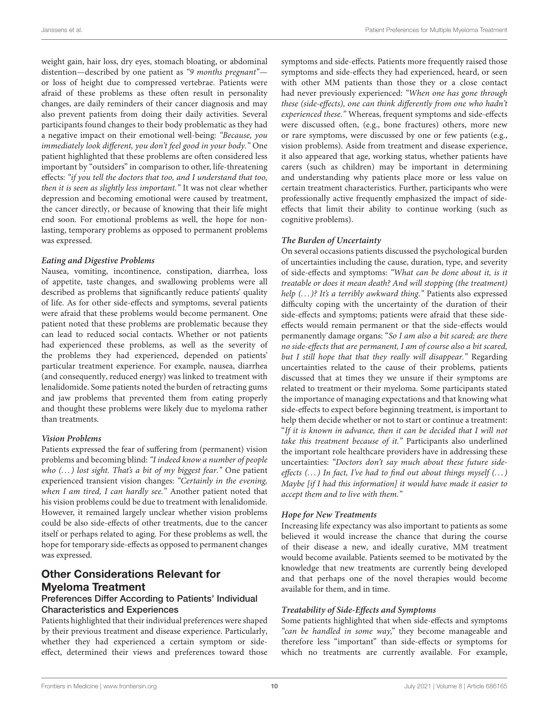weight gain, hair loss, dry eyes, stomach bloating, or abdominal distention—described by one patient as "9 months pregnant" or loss of height due to compressed vertebrae. Patients were afraid of these problems as these often result in personality changes, are daily reminders of their cancer diagnosis and may also prevent patients from doing their daily activities. Several participants found changes to their body problematic as they had a negative impact on their emotional well-being: "Because, you immediately look different, you don't feel good in your body." One patient highlighted that these problems are often considered less important by "outsiders" in comparison to other, life-threatening effects: "if you tell the doctors that too, and I understand that too, then it is seen as slightly less important." It was not clear whether depression and becoming emotional were caused by treatment, the cancer directly, or because of knowing that their life might end soon. For emotional problems as well, the hope for nonlasting, temporary problems as opposed to permanent problems was expressed.

### **Eating and Digestive Problems**

Nausea, vomiting, incontinence, constipation, diarrhea, loss of appetite, taste changes, and swallowing problems were all described as problems that significantly reduce patients' quality of life. As for other side-effects and symptoms, several patients were afraid that these problems would become permanent. One patient noted that these problems are problematic because they can lead to reduced social contacts. Whether or not patients had experienced these problems, as well as the severity of the problems they had experienced, depended on patients' particular treatment experience. For example, nausea, diarrhea (and consequently, reduced energy) was linked to treatment with lenalidomide. Some patients noted the burden of retracting gums and jaw problems that prevented them from eating properly and thought these problems were likely due to myeloma rather than treatments.

### **Vision Problems**

Patients expressed the fear of suffering from (permanent) vision problems and becoming blind: "I indeed know a number of people who (...) lost sight. That's a bit of my biggest fear." One patient experienced transient vision changes: "Certainly in the evening, when I am tired, I can hardly see." Another patient noted that his vision problems could be due to treatment with lenalidomide. However, it remained largely unclear whether vision problems could be also side-effects of other treatments, due to the cancer itself or perhaps related to aging. For these problems as well, the hope for temporary side-effects as opposed to permanent changes was expressed.

# Other Considerations Relevant for Myeloma Treatment

## Preferences Differ According to Patients' Individual Characteristics and Experiences

Patients highlighted that their individual preferences were shaped by their previous treatment and disease experience. Particularly, whether they had experienced a certain symptom or sideeffect, determined their views and preferences toward those symptoms and side-effects. Patients more frequently raised those symptoms and side-effects they had experienced, heard, or seen with other MM patients than those they or a close contact had never previously experienced: "When one has gone through these (side-effects), one can think differently from one who hadn't experienced these." Whereas, frequent symptoms and side-effects were discussed often, (e.g., bone fractures) others, more new or rare symptoms, were discussed by one or few patients (e.g., vision problems). Aside from treatment and disease experience, it also appeared that age, working status, whether patients have carers (such as children) may be important in determining and understanding why patients place more or less value on certain treatment characteristics. Further, participants who were professionally active frequently emphasized the impact of sideeffects that limit their ability to continue working (such as cognitive problems).

## **The Burden of Uncertainty**

On several occasions patients discussed the psychological burden of uncertainties including the cause, duration, type, and severity of side-effects and symptoms: "What can be done about it, is it treatable or does it mean death? And will stopping (the treatment) help (...)? It's a terribly awkward thing." Patients also expressed difficulty coping with the uncertainty of the duration of their side-effects and symptoms; patients were afraid that these sideeffects would remain permanent or that the side-effects would permanently damage organs: "So I am also a bit scared; are there no side-effects that are permanent, I am of course also a bit scared, but I still hope that that they really will disappear." Regarding uncertainties related to the cause of their problems, patients discussed that at times they we unsure if their symptoms are related to treatment or their myeloma. Some participants stated the importance of managing expectations and that knowing what side-effects to expect before beginning treatment, is important to help them decide whether or not to start or continue a treatment: "If it is known in advance, then it can be decided that I will not take this treatment because of it." Participants also underlined the important role healthcare providers have in addressing these uncertainties: "Doctors don't say much about these future sideeffects  $(...)$  In fact, I've had to find out about things myself  $(...)$ Maybe [if I had this information] it would have made it easier to accept them and to live with them."

### **Hope for New Treatments**

Increasing life expectancy was also important to patients as some believed it would increase the chance that during the course of their disease a new, and ideally curative, MM treatment would become available. Patients seemed to be motivated by the knowledge that new treatments are currently being developed and that perhaps one of the novel therapies would become available for them, and in time.

### **Treatability of Side-Effects and Symptoms**

Some patients highlighted that when side-effects and symptoms "can be handled in some way," they become manageable and therefore less "important" than side-effects or symptoms for which no treatments are currently available. For example,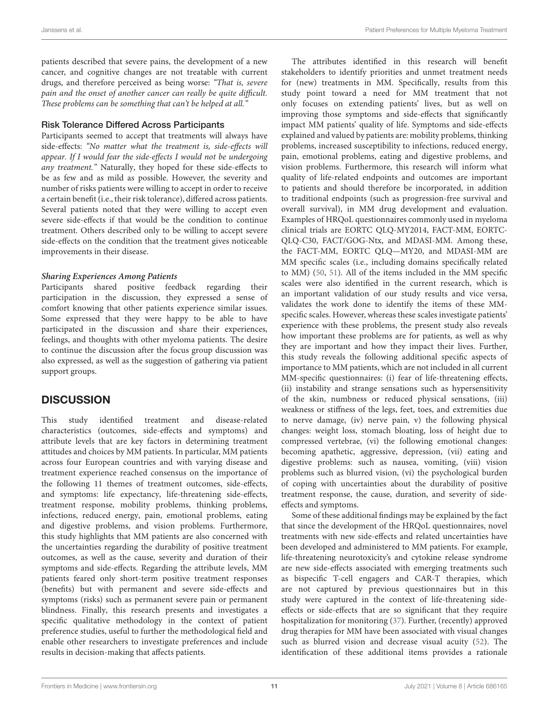patients described that severe pains, the development of a new cancer, and cognitive changes are not treatable with current drugs, and therefore perceived as being worse: "That is, severe pain and the onset of another cancer can really be quite difficult. These problems can be something that can't be helped at all."

### Risk Tolerance Differed Across Participants

Participants seemed to accept that treatments will always have side-effects: "No matter what the treatment is, side-effects will appear. If I would fear the side-effects I would not be undergoing any treatment." Naturally, they hoped for these side-effects to be as few and as mild as possible. However, the severity and number of risks patients were willing to accept in order to receive a certain benefit (i.e., their risk tolerance), differed across patients. Several patients noted that they were willing to accept even severe side-effects if that would be the condition to continue treatment. Others described only to be willing to accept severe side-effects on the condition that the treatment gives noticeable improvements in their disease.

### **Sharing Experiences Among Patients**

Participants shared positive feedback regarding their participation in the discussion, they expressed a sense of comfort knowing that other patients experience similar issues. Some expressed that they were happy to be able to have participated in the discussion and share their experiences, feelings, and thoughts with other myeloma patients. The desire to continue the discussion after the focus group discussion was also expressed, as well as the suggestion of gathering via patient support groups.

# **DISCUSSION**

This study identified treatment and disease-related characteristics (outcomes, side-effects and symptoms) and attribute levels that are key factors in determining treatment attitudes and choices by MM patients. In particular, MM patients across four European countries and with varying disease and treatment experience reached consensus on the importance of the following 11 themes of treatment outcomes, side-effects, and symptoms: life expectancy, life-threatening side-effects, treatment response, mobility problems, thinking problems, infections, reduced energy, pain, emotional problems, eating and digestive problems, and vision problems. Furthermore, this study highlights that MM patients are also concerned with the uncertainties regarding the durability of positive treatment outcomes, as well as the cause, severity and duration of their symptoms and side-effects. Regarding the attribute levels, MM patients feared only short-term positive treatment responses (benefits) but with permanent and severe side-effects and symptoms (risks) such as permanent severe pain or permanent blindness. Finally, this research presents and investigates a specific qualitative methodology in the context of patient preference studies, useful to further the methodological field and enable other researchers to investigate preferences and include results in decision-making that affects patients.

The attributes identified in this research will benefit stakeholders to identify priorities and unmet treatment needs for (new) treatments in MM. Specifically, results from this study point toward a need for MM treatment that not only focuses on extending patients' lives, but as well on improving those symptoms and side-effects that significantly impact MM patients' quality of life. Symptoms and side-effects explained and valued by patients are: mobility problems, thinking problems, increased susceptibility to infections, reduced energy, pain, emotional problems, eating and digestive problems, and vision problems. Furthermore, this research will inform what quality of life-related endpoints and outcomes are important to patients and should therefore be incorporated, in addition to traditional endpoints (such as progression-free survival and overall survival), in MM drug development and evaluation. Examples of HRQoL questionnaires commonly used in myeloma clinical trials are EORTC QLQ-MY2014, FACT-MM, EORTC-QLQ-C30, FACT/GOG-Ntx, and MDASI-MM. Among these, the FACT-MM, EORTC QLQ—MY20, and MDASI-MM are MM specific scales (i.e., including domains specifically related to MM) (50, 51). All of the items included in the MM specific scales were also identified in the current research, which is an important validation of our study results and vice versa, validates the work done to identify the items of these MMspecific scales. However, whereas these scales investigate patients' experience with these problems, the present study also reveals how important these problems are for patients, as well as why they are important and how they impact their lives. Further, this study reveals the following additional specific aspects of importance to MM patients, which are not included in all current MM-specific questionnaires: (i) fear of life-threatening effects, (ii) instability and strange sensations such as hypersensitivity of the skin, numbness or reduced physical sensations, (iii) weakness or stiffness of the legs, feet, toes, and extremities due to nerve damage, (iv) nerve pain, v) the following physical changes: weight loss, stomach bloating, loss of height due to compressed vertebrae, (vi) the following emotional changes: becoming apathetic, aggressive, depression, (vii) eating and digestive problems: such as nausea, vomiting, (viii) vision problems such as blurred vision, (vi) the psychological burden of coping with uncertainties about the durability of positive treatment response, the cause, duration, and severity of sideeffects and symptoms.

Some of these additional findings may be explained by the fact that since the development of the HRQoL questionnaires, novel treatments with new side-effects and related uncertainties have been developed and administered to MM patients. For example, life-threatening neurotoxicity's and cytokine release syndrome are new side-effects associated with emerging treatments such as bispecific T-cell engagers and CAR-T therapies, which are not captured by previous questionnaires but in this study were captured in the context of life-threatening sideeffects or side-effects that are so significant that they require hospitalization for monitoring (37). Further, (recently) approved drug therapies for MM have been associated with visual changes such as blurred vision and decrease visual acuity (52). The identification of these additional items provides a rationale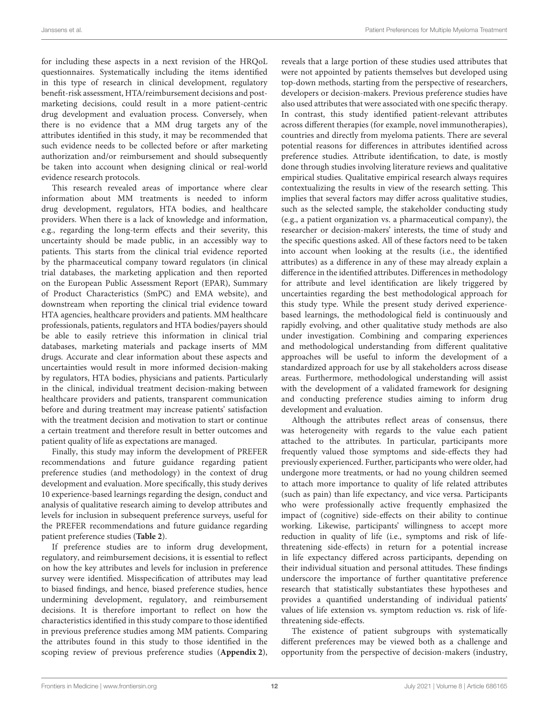for including these aspects in a next revision of the HRQoL questionnaires. Systematically including the items identified in this type of research in clinical development, regulatory benefit-risk assessment, HTA/reimbursement decisions and postmarketing decisions, could result in a more patient-centric drug development and evaluation process. Conversely, when there is no evidence that a MM drug targets any of the attributes identified in this study, it may be recommended that such evidence needs to be collected before or after marketing authorization and/or reimbursement and should subsequently be taken into account when designing clinical or real-world evidence research protocols.

This research revealed areas of importance where clear information about MM treatments is needed to inform drug development, regulators, HTA bodies, and healthcare providers. When there is a lack of knowledge and information, e.g., regarding the long-term effects and their severity, this uncertainty should be made public, in an accessibly way to patients. This starts from the clinical trial evidence reported by the pharmaceutical company toward regulators (in clinical trial databases, the marketing application and then reported on the European Public Assessment Report (EPAR), Summary of Product Characteristics (SmPC) and EMA website), and downstream when reporting the clinical trial evidence toward HTA agencies, healthcare providers and patients. MM healthcare professionals, patients, regulators and HTA bodies/payers should be able to easily retrieve this information in clinical trial databases, marketing materials and package inserts of MM drugs. Accurate and clear information about these aspects and uncertainties would result in more informed decision-making by regulators, HTA bodies, physicians and patients. Particularly in the clinical, individual treatment decision-making between healthcare providers and patients, transparent communication before and during treatment may increase patients' satisfaction with the treatment decision and motivation to start or continue a certain treatment and therefore result in better outcomes and patient quality of life as expectations are managed.

Finally, this study may inform the development of PREFER recommendations and future guidance regarding patient preference studies (and methodology) in the context of drug development and evaluation. More specifically, this study derives 10 experience-based learnings regarding the design, conduct and analysis of qualitative research aiming to develop attributes and levels for inclusion in subsequent preference surveys, useful for the PREFER recommendations and future guidance regarding patient preference studies (**Table 2**).

If preference studies are to inform drug development, regulatory, and reimbursement decisions, it is essential to reflect on how the key attributes and levels for inclusion in preference survey were identified. Misspecification of attributes may lead to biased findings, and hence, biased preference studies, hence undermining development, regulatory, and reimbursement decisions. It is therefore important to reflect on how the characteristics identified in this study compare to those identified in previous preference studies among MM patients. Comparing the attributes found in this study to those identified in the scoping review of previous preference studies (**Appendix 2**), reveals that a large portion of these studies used attributes that were not appointed by patients themselves but developed using top-down methods, starting from the perspective of researchers, developers or decision-makers. Previous preference studies have also used attributes that were associated with one specific therapy. In contrast, this study identified patient-relevant attributes across different therapies (for example, novel immunotherapies), countries and directly from myeloma patients. There are several potential reasons for differences in attributes identified across preference studies. Attribute identification, to date, is mostly done through studies involving literature reviews and qualitative empirical studies. Qualitative empirical research always requires contextualizing the results in view of the research setting. This implies that several factors may differ across qualitative studies, such as the selected sample, the stakeholder conducting study (e.g., a patient organization vs. a pharmaceutical company), the researcher or decision-makers' interests, the time of study and the specific questions asked. All of these factors need to be taken into account when looking at the results (i.e., the identified attributes) as a difference in any of these may already explain a difference in the identified attributes. Differences in methodology for attribute and level identification are likely triggered by uncertainties regarding the best methodological approach for this study type. While the present study derived experiencebased learnings, the methodological field is continuously and rapidly evolving, and other qualitative study methods are also under investigation. Combining and comparing experiences and methodological understanding from different qualitative approaches will be useful to inform the development of a standardized approach for use by all stakeholders across disease areas. Furthermore, methodological understanding will assist with the development of a validated framework for designing and conducting preference studies aiming to inform drug development and evaluation.

Although the attributes reflect areas of consensus, there was heterogeneity with regards to the value each patient attached to the attributes. In particular, participants more frequently valued those symptoms and side-effects they had previously experienced. Further, participants who were older, had undergone more treatments, or had no young children seemed to attach more importance to quality of life related attributes (such as pain) than life expectancy, and vice versa. Participants who were professionally active frequently emphasized the impact of (cognitive) side-effects on their ability to continue working. Likewise, participants' willingness to accept more reduction in quality of life (i.e., symptoms and risk of lifethreatening side-effects) in return for a potential increase in life expectancy differed across participants, depending on their individual situation and personal attitudes. These findings underscore the importance of further quantitative preference research that statistically substantiates these hypotheses and provides a quantified understanding of individual patients' values of life extension vs. symptom reduction vs. risk of lifethreatening side-effects.

The existence of patient subgroups with systematically different preferences may be viewed both as a challenge and opportunity from the perspective of decision-makers (industry,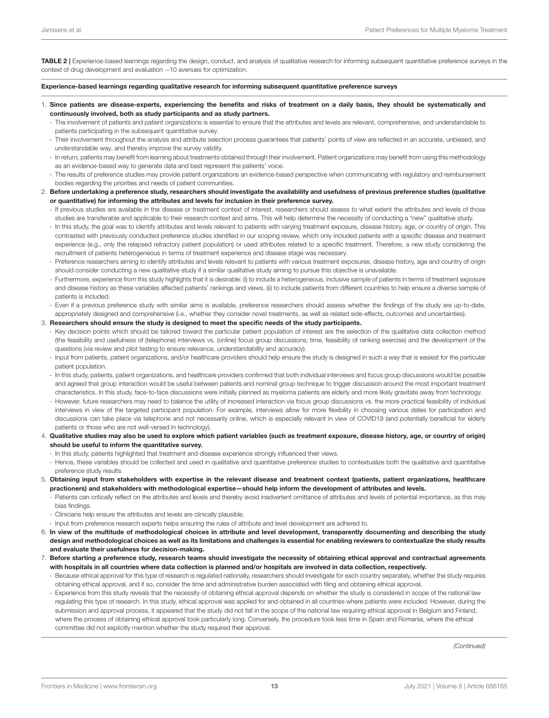TABLE 2 | Experience-based learnings regarding the design, conduct, and analysis of qualitative research for informing subsequent quantitative preference surveys in the context of drug development and evaluation −10 avenues for optimization.

#### Experience-based learnings regarding qualitative research for informing subsequent quantitative preference surveys

- 1. Since patients are disease-experts, experiencing the benefits and risks of treatment on a daily basis, they should be systematically and continuously involved, both as study participants and as study partners.
	- The involvement of patients and patient organizations is essential to ensure that the attributes and levels are relevant, comprehensive, and understandable to patients participating in the subsequent quantitative survey.
	- Their involvement throughout the analysis and attribute selection process guarantees that patients' points of view are reflected in an accurate, unbiased, and understandable way, and thereby improve the survey validity.
	- In return, patients may benefit from learning about treatments obtained through their involvement. Patient organizations may benefit from using this methodology as an evidence-based way to generate data and best represent the patients' voice.
	- The results of preference studies may provide patient organizations an evidence-based perspective when communicating with regulatory and reimbursement bodies regarding the priorities and needs of patient communities.
- 2. Before undertaking a preference study, researchers should investigate the availability and usefulness of previous preference studies (qualitative or quantitative) for informing the attributes and levels for inclusion in their preference survey.
	- If previous studies are available in the disease or treatment context of interest, researchers should assess to what extent the attributes and levels of those studies are transferable and applicable to their research context and aims. This will help determine the necessity of conducting a "new" qualitative study.
	- In this study, the goal was to identify attributes and levels relevant to patients with varying treatment exposure, disease history, age, or country of origin. This contrasted with previously conducted preference studies identified in our scoping review, which only included patients with a specific disease and treatment experience (e.g., only the relapsed refractory patient population) or used attributes related to a specific treatment. Therefore, a new study considering the recruitment of patients heterogeneous in terms of treatment experience and disease stage was necessary.
	- Preference researchers aiming to identify attributes and levels relevant to patients with various treatment exposures, disease history, age and country of origin should consider conducting a new qualitative study if a similar qualitative study aiming to pursue this objective is unavailable.
	- Furthermore, experience from this study highlights that it is desirable: (i) to include a heterogeneous, inclusive sample of patients in terms of treatment exposure and disease history as these variables affected patients' rankings and views, (ii) to include patients from different countries to help ensure a diverse sample of patients is included.
	- Even if a previous preference study with similar aims is available, preference researchers should assess whether the findings of the study are up-to-date, appropriately designed and comprehensive (i.e., whether they consider novel treatments, as well as related side-effects, outcomes and uncertainties).

#### 3. Researchers should ensure the study is designed to meet the specific needs of the study participants.

- Key decision points which should be tailored toward the particular patient population of interest are the selection of the qualitative data collection method (the feasibility and usefulness of (telephone) interviews vs. (online) focus group discussions; time, feasibility of ranking exercise) and the development of the questions (via review and pilot testing to ensure relevance, understandability and accuracy).
- Input from patients, patient organizations, and/or healthcare providers should help ensure the study is designed in such a way that is easiest for the particular patient population.
- In this study, patients, patient organizations, and healthcare providers confirmed that both individual interviews and focus group discussions would be possible and agreed that group interaction would be useful between patients and nominal group technique to trigger discussion around the most important treatment characteristics. In this study, face-to-face discussions were initially planned as myeloma patients are elderly and more likely gravitate away from technology.
- However, future researchers may need to balance the utility of increased interaction via focus group discussions vs. the more practical feasibility of individual interviews in view of the targeted participant population. For example, interviews allow for more flexibility in choosing various dates for participation and discussions can take place via telephone and not necessarily online, which is especially relevant in view of COVID19 (and potentially beneficial for elderly patients or those who are not well-versed in technology).
- 4. Qualitative studies may also be used to explore which patient variables (such as treatment exposure, disease history, age, or country of origin) should be useful to inform the quantitative survey.
	- In this study, patients highlighted that treatment and disease experience strongly influenced their views.
	- Hence, these variables should be collected and used in qualitative and quantitative preference studies to contextualize both the qualitative and quantitative preference study results.
- 5. Obtaining input from stakeholders with expertise in the relevant disease and treatment context (patients, patient organizations, healthcare practioners) and stakeholders with methodological expertise—should help inform the development of attributes and levels.
	- Patients can critically reflect on the attributes and levels and thereby avoid inadvertent omittance of attributes and levels of potential importance, as this may bias findings.
	- Clinicians help ensure the attributes and levels are clinically plausible.
	- Input from preference research experts helps ensuring the rules of attribute and level development are adhered to.
- 6. In view of the multitude of methodological choices in attribute and level development, transparently documenting and describing the study design and methodological choices as well as its limitations and challenges is essential for enabling reviewers to contextualize the study results and evaluate their usefulness for decision-making.
- 7. Before starting a preference study, research teams should investigate the necessity of obtaining ethical approval and contractual agreements with hospitals in all countries where data collection is planned and/or hospitals are involved in data collection, respectively.
	- Because ethical approval for this type of research is regulated nationally, researchers should investigate for each country separately, whether the study requires obtaining ethical approval, and if so, consider the time and administrative burden associated with filing and obtaining ethical approval.
	- Experience from this study reveals that the necessity of obtaining ethical approval depends on whether the study is considered in scope of the national law regulating this type of research. In this study, ethical approval was applied for and obtained in all countries where patients were included. However, during the submission and approval process, it appeared that the study did not fall in the scope of the national law requiring ethical approval in Belgium and Finland, where the process of obtaining ethical approval took particularly long. Conversely, the procedure took less time in Spain and Romania, where the ethical committee did not explicitly mention whether the study required their approval.

(Continued)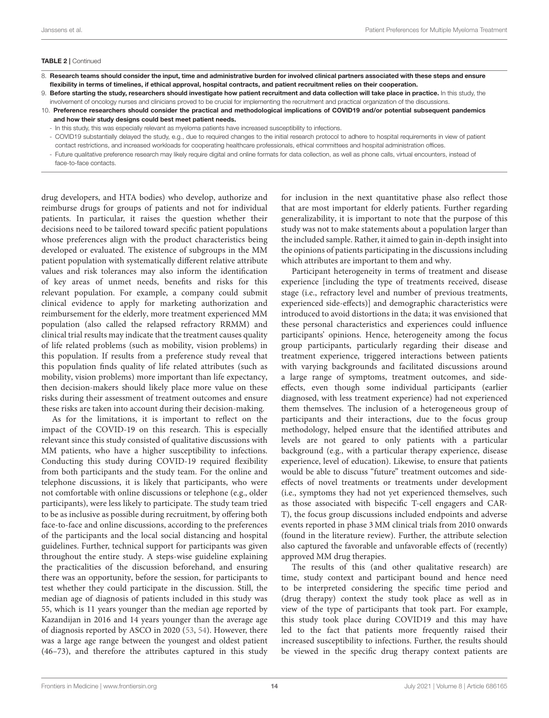#### TABLE 2 | Continued

- 8. Research teams should consider the input, time and administrative burden for involved clinical partners associated with these steps and ensure flexibility in terms of timelines, if ethical approval, hospital contracts, and patient recruitment relies on their cooperation.
- 9. Before starting the study, researchers should investigate how patient recruitment and data collection will take place in practice. In this study, the involvement of oncology nurses and clinicians proved to be crucial for implementing the recruitment and practical organization of the discussions.
- 10. Preference researchers should consider the practical and methodological implications of COVID19 and/or potential subsequent pandemics and how their study designs could best meet patient needs.
	- In this study, this was especially relevant as myeloma patients have increased susceptibility to infections.
	- COVID19 substantially delayed the study, e.g., due to required changes to the initial research protocol to adhere to hospital requirements in view of patient contact restrictions, and increased workloads for cooperating healthcare professionals, ethical committees and hospital administration offices.
	- Future qualitative preference research may likely require digital and online formats for data collection, as well as phone calls, virtual encounters, instead of face-to-face contacts.

drug developers, and HTA bodies) who develop, authorize and reimburse drugs for groups of patients and not for individual patients. In particular, it raises the question whether their decisions need to be tailored toward specific patient populations whose preferences align with the product characteristics being developed or evaluated. The existence of subgroups in the MM patient population with systematically different relative attribute values and risk tolerances may also inform the identification of key areas of unmet needs, benefits and risks for this relevant population. For example, a company could submit clinical evidence to apply for marketing authorization and reimbursement for the elderly, more treatment experienced MM population (also called the relapsed refractory RRMM) and clinical trial results may indicate that the treatment causes quality of life related problems (such as mobility, vision problems) in this population. If results from a preference study reveal that this population finds quality of life related attributes (such as mobility, vision problems) more important than life expectancy, then decision-makers should likely place more value on these risks during their assessment of treatment outcomes and ensure these risks are taken into account during their decision-making.

As for the limitations, it is important to reflect on the impact of the COVID-19 on this research. This is especially relevant since this study consisted of qualitative discussions with MM patients, who have a higher susceptibility to infections. Conducting this study during COVID-19 required flexibility from both participants and the study team. For the online and telephone discussions, it is likely that participants, who were not comfortable with online discussions or telephone (e.g., older participants), were less likely to participate. The study team tried to be as inclusive as possible during recruitment, by offering both face-to-face and online discussions, according to the preferences of the participants and the local social distancing and hospital guidelines. Further, technical support for participants was given throughout the entire study. A steps-wise guideline explaining the practicalities of the discussion beforehand, and ensuring there was an opportunity, before the session, for participants to test whether they could participate in the discussion. Still, the median age of diagnosis of patients included in this study was 55, which is 11 years younger than the median age reported by Kazandijan in 2016 and 14 years younger than the average age of diagnosis reported by ASCO in 2020 (53, 54). However, there was a large age range between the youngest and oldest patient (46–73), and therefore the attributes captured in this study for inclusion in the next quantitative phase also reflect those that are most important for elderly patients. Further regarding generalizability, it is important to note that the purpose of this study was not to make statements about a population larger than the included sample. Rather, it aimed to gain in-depth insight into the opinions of patients participating in the discussions including which attributes are important to them and why.

Participant heterogeneity in terms of treatment and disease experience [including the type of treatments received, disease stage (i.e., refractory level and number of previous treatments, experienced side-effects)] and demographic characteristics were introduced to avoid distortions in the data; it was envisioned that these personal characteristics and experiences could influence participants' opinions. Hence, heterogeneity among the focus group participants, particularly regarding their disease and treatment experience, triggered interactions between patients with varying backgrounds and facilitated discussions around a large range of symptoms, treatment outcomes, and sideeffects, even though some individual participants (earlier diagnosed, with less treatment experience) had not experienced them themselves. The inclusion of a heterogeneous group of participants and their interactions, due to the focus group methodology, helped ensure that the identified attributes and levels are not geared to only patients with a particular background (e.g., with a particular therapy experience, disease experience, level of education). Likewise, to ensure that patients would be able to discuss "future" treatment outcomes and sideeffects of novel treatments or treatments under development (i.e., symptoms they had not yet experienced themselves, such as those associated with bispecific T-cell engagers and CAR-T), the focus group discussions included endpoints and adverse events reported in phase 3 MM clinical trials from 2010 onwards (found in the literature review). Further, the attribute selection also captured the favorable and unfavorable effects of (recently) approved MM drug therapies.

The results of this (and other qualitative research) are time, study context and participant bound and hence need to be interpreted considering the specific time period and (drug therapy) context the study took place as well as in view of the type of participants that took part. For example, this study took place during COVID19 and this may have led to the fact that patients more frequently raised their increased susceptibility to infections. Further, the results should be viewed in the specific drug therapy context patients are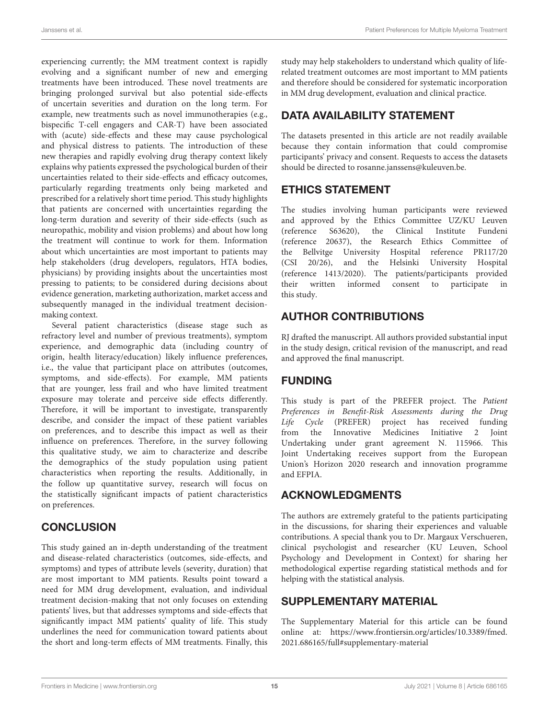experiencing currently; the MM treatment context is rapidly evolving and a significant number of new and emerging treatments have been introduced. These novel treatments are bringing prolonged survival but also potential side-effects of uncertain severities and duration on the long term. For example, new treatments such as novel immunotherapies (e.g., bispecific T-cell engagers and CAR-T) have been associated with (acute) side-effects and these may cause psychological and physical distress to patients. The introduction of these new therapies and rapidly evolving drug therapy context likely explains why patients expressed the psychological burden of their uncertainties related to their side-effects and efficacy outcomes, particularly regarding treatments only being marketed and prescribed for a relatively short time period. This study highlights that patients are concerned with uncertainties regarding the long-term duration and severity of their side-effects (such as neuropathic, mobility and vision problems) and about how long the treatment will continue to work for them. Information about which uncertainties are most important to patients may help stakeholders (drug developers, regulators, HTA bodies, physicians) by providing insights about the uncertainties most pressing to patients; to be considered during decisions about evidence generation, marketing authorization, market access and subsequently managed in the individual treatment decisionmaking context.

Several patient characteristics (disease stage such as refractory level and number of previous treatments), symptom experience, and demographic data (including country of origin, health literacy/education) likely influence preferences, i.e., the value that participant place on attributes (outcomes, symptoms, and side-effects). For example, MM patients that are younger, less frail and who have limited treatment exposure may tolerate and perceive side effects differently. Therefore, it will be important to investigate, transparently describe, and consider the impact of these patient variables on preferences, and to describe this impact as well as their influence on preferences. Therefore, in the survey following this qualitative study, we aim to characterize and describe the demographics of the study population using patient characteristics when reporting the results. Additionally, in the follow up quantitative survey, research will focus on the statistically significant impacts of patient characteristics on preferences.

# **CONCLUSION**

This study gained an in-depth understanding of the treatment and disease-related characteristics (outcomes, side-effects, and symptoms) and types of attribute levels (severity, duration) that are most important to MM patients. Results point toward a need for MM drug development, evaluation, and individual treatment decision-making that not only focuses on extending patients' lives, but that addresses symptoms and side-effects that significantly impact MM patients' quality of life. This study underlines the need for communication toward patients about the short and long-term effects of MM treatments. Finally, this study may help stakeholders to understand which quality of liferelated treatment outcomes are most important to MM patients and therefore should be considered for systematic incorporation in MM drug development, evaluation and clinical practice.

# DATA AVAILABILITY STATEMENT

The datasets presented in this article are not readily available because they contain information that could compromise participants' privacy and consent. Requests to access the datasets should be directed to [rosanne.janssens@kuleuven.be.](mailto:rosanne.janssens@kuleuven.be)

# ETHICS STATEMENT

The studies involving human participants were reviewed and approved by the Ethics Committee UZ/KU Leuven<br>(reference S63620), the Clinical Institute Fundeni (reference S63620), the Clinical Institute Fundeni (reference 20637), the Research Ethics Committee of the Bellvitge University Hospital reference PR117/20 (CSI 20/26), and the Helsinki University Hospital (reference 1413/2020). The patients/participants provided their written informed consent to participate in this study.

# AUTHOR CONTRIBUTIONS

RJ drafted the manuscript. All authors provided substantial input in the study design, critical revision of the manuscript, and read and approved the final manuscript.

# FUNDING

This study is part of the PREFER project. The Patient Preferences in Benefit-Risk Assessments during the Drug Life Cycle (PREFER) project has received funding from the Innovative Medicines Initiative 2 Joint Undertaking under grant agreement N. 115966. This Joint Undertaking receives support from the European Union's Horizon 2020 research and innovation programme and EFPIA.

# ACKNOWLEDGMENTS

The authors are extremely grateful to the patients participating in the discussions, for sharing their experiences and valuable contributions. A special thank you to Dr. Margaux Verschueren, clinical psychologist and researcher (KU Leuven, School Psychology and Development in Context) for sharing her methodological expertise regarding statistical methods and for helping with the statistical analysis.

# SUPPLEMENTARY MATERIAL

The Supplementary Material for this article can be found [online at: https://www.frontiersin.org/articles/10.3389/fmed.](https://www.frontiersin.org/articles/10.3389/fmed.2021.686165/full#supplementary-material) 2021.686165/full#supplementary-material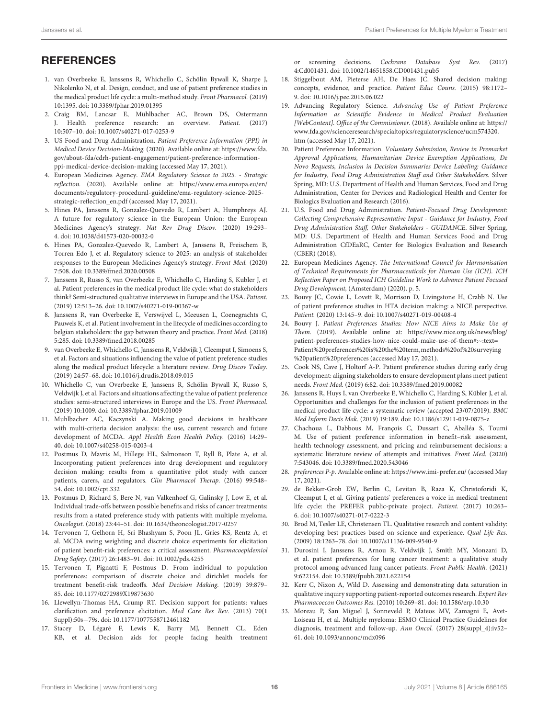# **REFERENCES**

- 1. van Overbeeke E, Janssens R, Whichello C, Schölin Bywall K, Sharpe J, Nikolenko N, et al. Design, conduct, and use of patient preference studies in the medical product life cycle: a multi-method study. Front Pharmacol. (2019) 10:1395. doi: [10.3389/fphar.2019.01395](https://doi.org/10.3389/fphar.2019.01395)
- 2. Craig BM, Lancsar E, Mühlbacher AC, Brown DS, Ostermann J. Health preference research: an overview. Patient. (2017) 10:507–10. doi: [10.1007/s40271-017-0253-9](https://doi.org/10.1007/s40271-017-0253-9)
- 3. US Food and Drug Administration. Patient Preference Information (PPI) in Medical Device Decision-Making. (2020). Available online at: [https://www.fda.](https://www.fda.gov/about-fda/cdrh-patient-engagement/patient-preference-information-ppi-medical-device-decision-making) [gov/about-fda/cdrh-patient-engagement/patient-preference-information](https://www.fda.gov/about-fda/cdrh-patient-engagement/patient-preference-information-ppi-medical-device-decision-making)[ppi-medical-device-decision-making](https://www.fda.gov/about-fda/cdrh-patient-engagement/patient-preference-information-ppi-medical-device-decision-making) (accessed May 17, 2021).
- 4. European Medicines Agency. EMA Regulatory Science to 2025. Strategic reflection. (2020). Available online at: [https://www.ema.europa.eu/en/](https://www.ema.europa.eu/en/documents/regulatory-procedural-guideline/ema-regulatory-science-2025-strategic-reflection_en.pdf) [documents/regulatory-procedural-guideline/ema-regulatory-science-2025](https://www.ema.europa.eu/en/documents/regulatory-procedural-guideline/ema-regulatory-science-2025-strategic-reflection_en.pdf) [strategic-reflection\\_en.pdf](https://www.ema.europa.eu/en/documents/regulatory-procedural-guideline/ema-regulatory-science-2025-strategic-reflection_en.pdf) (accessed May 17, 2021).
- 5. Hines PA, Janssens R, Gonzalez-Quevedo R, Lambert A, Humphreys AJ. A future for regulatory science in the European Union: the European Medicines Agency's strategy. Nat Rev Drug Discov. (2020) 19:293– 4. doi: [10.1038/d41573-020-00032-0](https://doi.org/10.1038/d41573-020-00032-0)
- 6. Hines PA, Gonzalez-Quevedo R, Lambert A, Janssens R, Freischem B, Torren Edo J, et al. Regulatory science to 2025: an analysis of stakeholder responses to the European Medicines Agency's strategy. Front Med. (2020) 7:508. doi: [10.3389/fmed.2020.00508](https://doi.org/10.3389/fmed.2020.00508)
- 7. Janssens R, Russo S, van Overbeeke E, Whichello C, Harding S, Kubler J, et al. Patient preferences in the medical product life cycle: what do stakeholders think? Semi-structured qualitative interviews in Europe and the USA. Patient. (2019) 12:513–26. doi: [10.1007/s40271-019-00367-w](https://doi.org/10.1007/s40271-019-00367-w)
- 8. Janssens R, van Overbeeke E, Verswijvel L, Meeusen L, Coenegrachts C, Pauwels K, et al. Patient involvement in the lifecycle of medicines according to belgian stakeholders: the gap between theory and practice. Front Med. (2018) 5:285. doi: [10.3389/fmed.2018.00285](https://doi.org/10.3389/fmed.2018.00285)
- van Overbeeke E, Whichello C, Janssens R, Veldwijk J, Cleemput I, Simoens S, et al. Factors and situations influencing the value of patient preference studies along the medical product lifecycle: a literature review. Drug Discov Today. (2019) 24:57–68. doi: [10.1016/j.drudis.2018.09.015](https://doi.org/10.1016/j.drudis.2018.09.015)
- 10. Whichello C, van Overbeeke E, Janssens R, Schölin Bywall K, Russo S, Veldwijk J, et al. Factors and situations affecting the value of patient preference studies: semi-structured interviews in Europe and the US. Front Pharmacol. (2019) 10:1009. doi: [10.3389/fphar.2019.01009](https://doi.org/10.3389/fphar.2019.01009)
- 11. Muhlbacher AC, Kaczynski A. Making good decisions in healthcare with multi-criteria decision analysis: the use, current research and future development of MCDA. Appl Health Econ Health Policy. (2016) 14:29– 40. doi: [10.1007/s40258-015-0203-4](https://doi.org/10.1007/s40258-015-0203-4)
- 12. Postmus D, Mavris M, Hillege HL, Salmonson T, Ryll B, Plate A, et al. Incorporating patient preferences into drug development and regulatory decision making: results from a quantitative pilot study with cancer patients, carers, and regulators. Clin Pharmacol Therap. (2016) 99:548– 54. doi: [10.1002/cpt.332](https://doi.org/10.1002/cpt.332)
- 13. Postmus D, Richard S, Bere N, van Valkenhoef G, Galinsky J, Low E, et al. Individual trade-offs between possible benefits and risks of cancer treatments: results from a stated preference study with patients with multiple myeloma. Oncologist. (2018) 23:44–51. doi: [10.1634/theoncologist.2017-0257](https://doi.org/10.1634/theoncologist.2017-0257)
- 14. Tervonen T, Gelhorn H, Sri Bhashyam S, Poon JL, Gries KS, Rentz A, et al. MCDA swing weighting and discrete choice experiments for elicitation of patient benefit-risk preferences: a critical assessment. Pharmacoepidemiol Drug Safety. (2017) 26:1483–91. doi: [10.1002/pds.4255](https://doi.org/10.1002/pds.4255)
- 15. Tervonen T, Pignatti F, Postmus D. From individual to population preferences: comparison of discrete choice and dirichlet models for treatment benefit-risk tradeoffs. Med Decision Making. (2019) 39:879– 85. doi: [10.1177/0272989X19873630](https://doi.org/10.1177/0272989X19873630)
- 16. Llewellyn-Thomas HA, Crump RT. Decision support for patients: values clarification and preference elicitation. Med Care Res Rev. (2013) 70(1 Suppl):50s−79s. doi: [10.1177/1077558712461182](https://doi.org/10.1177/1077558712461182)
- 17. Stacey D, Légaré F, Lewis K, Barry MJ, Bennett CL, Eden KB, et al. Decision aids for people facing health treatment

or screening decisions. Cochrane Database Syst Rev. (2017) 4:Cd001431. doi: [10.1002/14651858.CD001431.pub5](https://doi.org/10.1002/14651858.CD001431.pub5)

- 18. Stiggelbout AM, Pieterse AH, De Haes JC. Shared decision making: concepts, evidence, and practice. Patient Educ Couns. (2015) 98:1172– 9. doi: [10.1016/j.pec.2015.06.022](https://doi.org/10.1016/j.pec.2015.06.022)
- 19. Advancing Regulatory Science. Advancing Use of Patient Preference Information as Scientific Evidence in Medical Product Evaluation [WebContent]. Office of the Commissioner. (2018). Available online at: [https://](https://www.fda.gov/scienceresearch/specialtopics/regulatoryscience/ucm574320.htm) [www.fda.gov/scienceresearch/specialtopics/regulatoryscience/ucm574320.](https://www.fda.gov/scienceresearch/specialtopics/regulatoryscience/ucm574320.htm) [htm](https://www.fda.gov/scienceresearch/specialtopics/regulatoryscience/ucm574320.htm) (accessed May 17, 2021).
- 20. Patient Preference Information. Voluntary Submission, Review in Premarket Approval Applications, Humanitarian Device Exemption Applications, De Novo Requests, Inclusion in Decision Summaries Device Labeling: Guidance for Industry, Food Drug Administration Staff and Other Stakeholders. Silver Spring, MD: U.S. Department of Health and Human Services, Food and Drug Administration, Center for Devices and Radiological Health and Center for Biologics Evaluation and Research (2016).
- 21. U.S. Food and Drug Administration. Patient-Focused Drug Development: Collecting Comprehensive Representative Input - Guidance for Industry, Food Drug Administration Staff, Other Stakeholders - GUIDANCE. Silver Spring, MD: U.S. Department of Health and Human Services Food and Drug Administration CfDEaRC, Center for Biologics Evaluation and Research (CBER) (2018).
- 22. European Medicines Agency. The International Council for Harmonisation of Technical Requirements for Pharmaceuticals for Human Use (ICH). ICH Reflection Paper on Proposed ICH Guideline Work to Advance Patient Focused Drug Development, (Amsterdam) (2020). p. 5.
- 23. Bouvy JC, Cowie L, Lovett R, Morrison D, Livingstone H, Crabb N. Use of patient preference studies in HTA decision making: a NICE perspective. Patient. (2020) 13:145–9. doi: [10.1007/s40271-019-00408-4](https://doi.org/10.1007/s40271-019-00408-4)
- 24. Bouvy J. Patient Preferences Studies: How NICE Aims to Make Use of Them. (2019). Available online at: [https://www.nice.org.uk/news/blog/](https://www.nice.org.uk/news/blog/patient-preferences-studies-how-nice-could-make-use-of-them#:~:text=Patient%20preferences%20is%20the%20term,methods%20of%20surveying%20patient%20preferences) [patient-preferences-studies-how-nice-could-make-use-of-them#:~:text=](https://www.nice.org.uk/news/blog/patient-preferences-studies-how-nice-could-make-use-of-them#:~:text=Patient%20preferences%20is%20the%20term,methods%20of%20surveying%20patient%20preferences) [Patient%20preferences%20is%20the%20term,methods%20of%20surveying](https://www.nice.org.uk/news/blog/patient-preferences-studies-how-nice-could-make-use-of-them#:~:text=Patient%20preferences%20is%20the%20term,methods%20of%20surveying%20patient%20preferences) [%20patient%20preferences](https://www.nice.org.uk/news/blog/patient-preferences-studies-how-nice-could-make-use-of-them#:~:text=Patient%20preferences%20is%20the%20term,methods%20of%20surveying%20patient%20preferences) (accessed May 17, 2021).
- 25. Cook NS, Cave J, Holtorf A-P. Patient preference studies during early drug development: aligning stakeholders to ensure development plans meet patient needs. Front Med. (2019) 6:82. doi: [10.3389/fmed.2019.00082](https://doi.org/10.3389/fmed.2019.00082)
- 26. Janssens R, Huys I, van Overbeeke E, Whichello C, Harding S, Kübler J, et al. Opportunities and challenges for the inclusion of patient preferences in the medical product life cycle: a systematic review (accepted 23/07/2019). BMC Med Inform Decis Mak. (2019) 19:189. doi: [10.1186/s12911-019-0875-z](https://doi.org/10.1186/s12911-019-0875-z)
- 27. Chachoua L, Dabbous M, François C, Dussart C, Aballéa S, Toumi M. Use of patient preference information in benefit–risk assessment, health technology assessment, and pricing and reimbursement decisions: a systematic literature review of attempts and initiatives. Front Med. (2020) 7:543046. doi: [10.3389/fmed.2020.543046](https://doi.org/10.3389/fmed.2020.543046)
- 28. preferences P-p. Available online at:<https://www.imi-prefer.eu/> (accessed May 17, 2021).
- 29. de Bekker-Grob EW, Berlin C, Levitan B, Raza K, Christoforidi K, Cleemput I, et al. Giving patients' preferences a voice in medical treatment life cycle: the PREFER public-private project. Patient. (2017) 10:263– 6. doi: [10.1007/s40271-017-0222-3](https://doi.org/10.1007/s40271-017-0222-3)
- 30. Brod M, Tesler LE, Christensen TL. Qualitative research and content validity: developing best practices based on science and experience. Qual Life Res. (2009) 18:1263–78. doi: [10.1007/s11136-009-9540-9](https://doi.org/10.1007/s11136-009-9540-9)
- 31. Durosini I, Janssens R, Arnou R, Veldwijk J, Smith MY, Monzani D, et al. patient preferences for lung cancer treatment: a qualitative study protocol among advanced lung cancer patients. Front Public Health. (2021) 9:622154. doi: [10.3389/fpubh.2021.622154](https://doi.org/10.3389/fpubh.2021.622154)
- 32. Kerr C, Nixon A, Wild D. Assessing and demonstrating data saturation in qualitative inquiry supporting patient-reported outcomes research. Expert Rev Pharmacoecon Outcomes Res. (2010) 10:269–81. doi: [10.1586/erp.10.30](https://doi.org/10.1586/erp.10.30)
- 33. Moreau P, San Miguel J, Sonneveld P, Mateos MV, Zamagni E, Avet-Loiseau H, et al. Multiple myeloma: ESMO Clinical Practice Guidelines for diagnosis, treatment and follow-up. Ann Oncol. (2017) 28(suppl\_4):iv52– 61. doi: [10.1093/annonc/mdx096](https://doi.org/10.1093/annonc/mdx096)